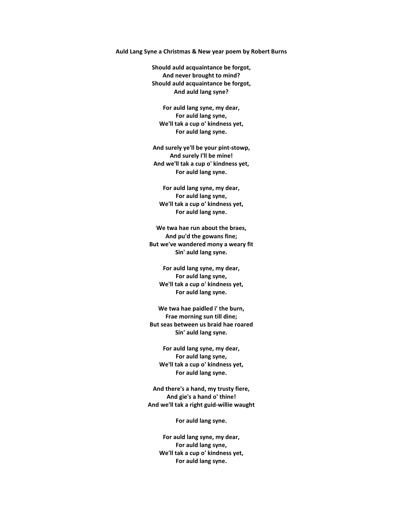## **Auld Lang Syne a Christmas & New year poem by Robert Burns**

**Should auld acquaintance be forgot, And never brought to mind? Should auld acquaintance be forgot, And auld lang syne?** 

**For auld lang syne, my dear, For auld lang syne, We'll tak a cup o' kindness yet, For auld lang syne.** 

**And surely ye'll be your pint-stowp, And surely I'll be mine! And we'll tak a cup o' kindness yet, For auld lang syne.** 

**For auld lang syne, my dear, For auld lang syne, We'll tak a cup o' kindness yet, For auld lang syne.** 

**We twa hae run about the braes, And pu'd the gowans fine; But we've wandered mony a weary fit Sin' auld lang syne.** 

**For auld lang syne, my dear, For auld lang syne, We'll tak a cup o' kindness yet, For auld lang syne.** 

**We twa hae paidled i' the burn, Frae morning sun till dine; But seas between us braid hae roared Sin' auld lang syne.** 

**For auld lang syne, my dear, For auld lang syne, We'll tak a cup o' kindness yet, For auld lang syne.** 

**And there's a hand, my trusty fiere, And gie's a hand o' thine! And we'll tak a right guid-willie waught** 

**For auld lang syne.** 

**For auld lang syne, my dear, For auld lang syne, We'll tak a cup o' kindness yet, For auld lang syne.**